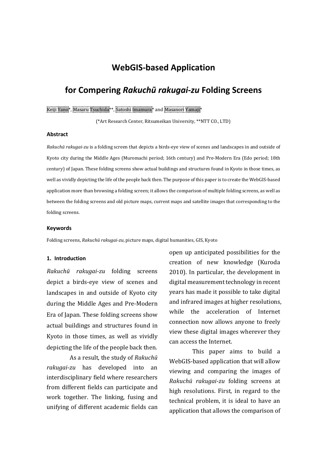# **WebGIS-based Application**

# **for Compering** *Rakuchū rakugai-zu* **Folding Screens**

### Keiji Yano\*, Masaru Tsuchida\*\*, Satoshi Imamura\* and Masanori Yamaji\*

(\*Art Research Center, Ritsumeikan University, \*\*NTT CO., LTD)

## **Abstract**

*Rakuchū rakugai-zu* is a folding screen that depicts a birds-eye view of scenes and landscapes in and outside of Kyoto city during the Middle Ages (Muromachi period; 16th century) and Pre-Modern Era (Edo period; 18th century) of Japan. These folding screens show actual buildings and structures found in Kyoto in those times, as well as vividly depicting the life of the people back then. The purpose of this paper is to create the WebGIS-based application more than browsing a folding screen; it allows the comparison of multiple folding screens, as well as between the folding screens and old picture maps, current maps and satellite images that corresponding to the folding screens.

#### **Keywords**

Folding screens, *Rakuchū rakugai-zu*, picture maps, digital humanities, GIS, Kyoto

#### **1. Introduction**

*Rakuchū rakugai-zu* folding screens depict a birds-eye view of scenes and landscapes in and outside of Kyoto city during the Middle Ages and Pre-Modern Era of Japan. These folding screens show actual buildings and structures found in Kyoto in those times, as well as vividly depicting the life of the people back then.

As a result, the study of *Rakuchū rakugai-zu* has developed into an interdisciplinary field where researchers from different fields can participate and work together. The linking, fusing and unifying of different academic fields can

open up anticipated possibilities for the creation of new knowledge (Kuroda 2010). In particular, the development in digital measurement technology in recent years has made it possible to take digital and infrared images at higher resolutions, while the acceleration of Internet connection now allows anyone to freely view these digital images wherever they can access the Internet.

This paper aims to build a WebGIS-based application that will allow viewing and comparing the images of *Rakuchū rakugai-zu* folding screens at high resolutions. First, in regard to the technical problem, it is ideal to have an application that allows the comparison of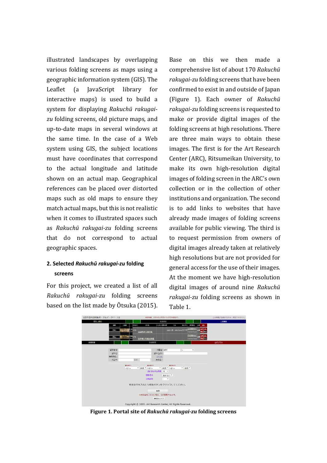illustrated landscapes by overlapping various folding screens as maps using a geographic information system (GIS). The Leaflet (a JavaScript library for interactive maps) is used to build a system for displaying *Rakuchū rakugaizu* folding screens, old picture maps, and up-to-date maps in several windows at the same time. In the case of a Web system using GIS, the subject locations must have coordinates that correspond to the actual longitude and latitude shown on an actual map. Geographical references can be placed over distorted maps such as old maps to ensure they match actual maps, but this is not realistic when it comes to illustrated spaces such as *Rakuchū rakugai-zu* folding screens that do not correspond to actual geographic spaces.

## **2. Selected** *Rakuchū rakugai-zu* **folding screens**

For this project, we created a list of all *Rakuchū rakugai-zu* folding screens based on the list made by Ōtsuka (2015).

Base on this we then made a comprehensive list of about 170 *Rakuchū rakugai-zu* folding screens that have been confirmed to exist in and outside of Japan (Figure 1). Each owner of *Rakuchū rakugai-zu* folding screens is requested to make or provide digital images of the folding screens at high resolutions. There are three main ways to obtain these images. The first is for the Art Research Center (ARC), Ritsumeikan University, to make its own high-resolution digital images of folding screen in the ARC's own collection or in the collection of other institutions and organization. The second is to add links to websites that have already made images of folding screens available for public viewing. The third is to request permission from owners of digital images already taken at relatively high resolutions but are not provided for general access for the use of their images. At the moment we have high-resolution digital images of around nine *Rakuchū rakugai-zu* folding screens as shown in Table 1.



**Figure 1. Portal site of** *Rakuchū rakugai-zu* **folding screens**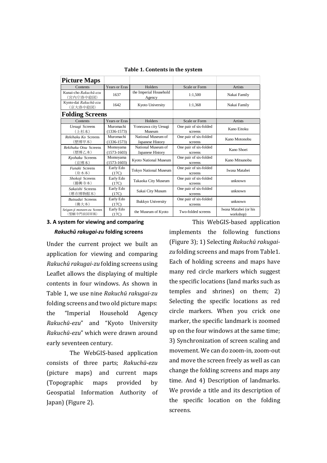| <b>Picture Maps</b>                      |                              |                                        |                                   |                                    |
|------------------------------------------|------------------------------|----------------------------------------|-----------------------------------|------------------------------------|
| Contents                                 | <b>Years or Eras</b>         | Holders                                | Scale or Form                     | Artists                            |
| Kunai-cho Rakuchū-ezu<br>(宮内庁洛中絵図)       | 1637                         | the Imperial Household<br>Agency       | 1:1,500                           | Nakai Family                       |
| Kyoto-dai Rakuchū-ezu<br>(京大洛中絵図)        | 1642                         | Kyoto University                       | 1:1,368                           | Nakai Family                       |
| <b>Folding Screens</b>                   |                              |                                        |                                   |                                    |
| Contents                                 | <b>Years or Eras</b>         | Holders                                | Scale or Form                     | Artists                            |
| <b>Uesugi Screens</b><br>(上杉本)           | Muromachi<br>$(1336 - 1573)$ | Yonezawa city Uesugi<br>Museum         | One pair of six-folded<br>screens | Kano Eitoku                        |
| Rekihaku Ko Screens<br>(歴博甲本)            | Muromachi<br>$(1336 - 1573)$ | National Museum of<br>Japanese History | One pair of six-folded<br>screens | Kano Motonobu                      |
| Rekihaku Otsu Screens<br>(歴博乙本)          | Momoyama<br>$(1573-1603)$    | National Museum of<br>Japanese History | One pair of six-folded<br>screens | Kano Shoei                         |
| Kyohaku Screens<br>(京博本)                 | Momoyama<br>$(1573-1603)$    | Kyoto National Museum                  | One pair of six-folded<br>screens | Kano Mitsunobu                     |
| <b>Funaki Screens</b><br>(舟木本)           | Early Edo<br>(17C)           | <b>Tokyo National Museum</b>           | One pair of six-folded<br>screens | Iwasa Matabei                      |
| Shokoji Screens<br>(勝興寺本)                | Early Edo<br>(17C)           | Takaoka City Museum                    | One pair of six-folded<br>screens | unknown                            |
| Sakaishi Screens<br>(堺市博物館本)             | Early Edo<br>(17C)           | Sakai City Musum                       | One pair of six-folded<br>screens | unknown                            |
| <b>Butsudai Screens</b><br>(佛大本)         | Early Edo<br>(17C)           | <b>Bukkyo University</b>               | One pair of six-folded<br>screens | unknown                            |
| Seigan-ji monzen-zu Screen<br>(誓願寺門前図屏風) | Early Edo<br>(17C)           | the Museum of Kyoto                    | Two-folded screens                | Iwasa Matabei (or his<br>workshop) |

**Table 1. Contents in the system**

## **3. A system for viewing and comparing**  *Rakuchū rakugai-zu* **folding screens**

Under the current project we built an application for viewing and comparing *Rakuchū rakugai-zu* folding screens using Leaflet allows the displaying of multiple contents in four windows. As shown in Table 1, we use nine *Rakuchū rakugai-zu* folding screens and two old picture maps: the "Imperial Household Agency *Rakuchū-ezu*" and "Kyoto University *Rakuchū-ezu*" which were drawn around early seventeen century.

The WebGIS-based application consists of three parts; *Rakuchū-ezu* (picture maps) and current maps (Topographic maps provided by Geospatial Information Authority of Japan) (Figure 2).

This WebGIS-based application implements the following functions (Figure 3); 1) Selecting *Rakuchū rakugaizu* folding screens and maps from Table1. Each of holding screens and maps have many red circle markers which suggest the specific locations (land marks such as temples and shrines) on them; 2) Selecting the specific locations as red circle markers. When you crick one marker, the specific landmark is zoomed up on the four windows at the same time; 3) Synchronization of screen scaling and movement. We can do zoom-in, zoom-out and move the screen freely as well as can change the folding screens and maps any time. And 4) Description of landmarks. We provide a title and its description of the specific location on the folding screens.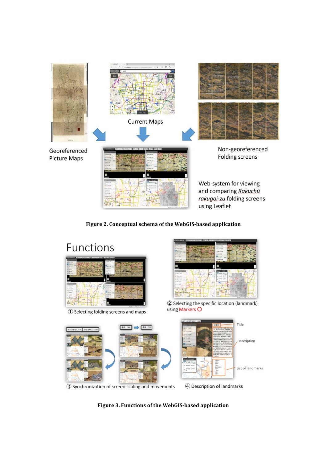

**Figure 2. Conceptual schema of the WebGIS-based application**



**Figure 3. Functions of the WebGIS-based application**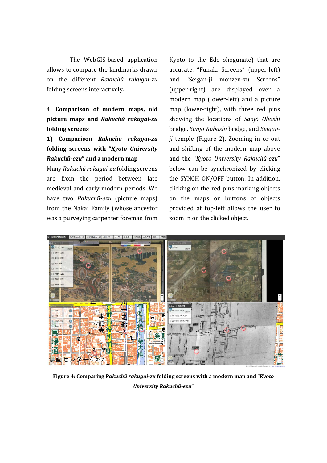The WebGIS-based application allows to compare the landmarks drawn on the different *Rakuchū rakugai-zu* folding screens interactively.

**4. Comparison of modern maps, old picture maps and** *Rakuchū rakugai-zu* **folding screens**

**1) Comparison** *Rakuchū rakugai-zu* **folding screens with "***Kyoto University Rakuchū-ezu***" and a modern map**

Many *Rakuchū rakugai-zu* folding screens are from the period between late medieval and early modern periods. We have two *Rakuchū-ezu* (picture maps) from the Nakai Family (whose ancestor was a purveying carpenter foreman from

Kyoto to the Edo shogunate) that are accurate. "Funaki Screens" (upper-left) and "Seigan-ji monzen-zu Screens" (upper-right) are displayed over a modern map (lower-left) and a picture map (lower-right), with three red pins showing the locations of *Sanjō Ōhashi* bridge, *Sanjō Kobashi* bridge, and *Seiganji* temple (Figure 2). Zooming in or out and shifting of the modern map above and the "*Kyoto University Rakuchū-ezu*" below can be synchronized by clicking the SYNCH ON/OFF button. In addition, clicking on the red pins marking objects on the maps or buttons of objects provided at top-left allows the user to zoom in on the clicked object.



**Figure 4: Comparing** *Rakuchū rakugai-zu* **folding screens with a modern map and "***Kyoto University Rakuchū-ezu***"**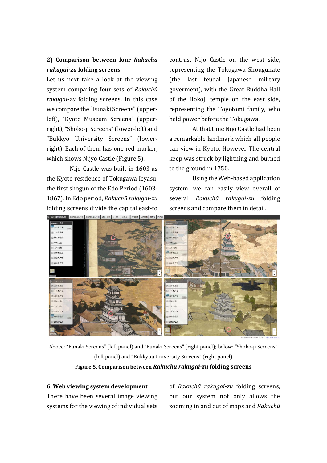## **2) Comparison between four** *Rakuchū rakugai-zu* **folding screens**

Let us next take a look at the viewing system comparing four sets of *Rakuchū rakugai-zu* folding screens. In this case we compare the "Funaki Screens"(upperleft), "Kyoto Museum Screens" (upperright), "Shoko-ji Screens"(lower-left) and "Bukkyo University Screens" (lowerright). Each of them has one red marker, which shows Nijyo Castle (Figure 5).

Nijo Castle was built in 1603 as the Kyoto residence of Tokugawa Ieyasu, the first shogun of the Edo Period (1603- 1867). In Edo period, *Rakuchū rakugai-zu* folding screens divide the capital east-to

contrast Nijo Castle on the west side, representing the Tokugawa Shougunate (the last feudal Japanese military goverment), with the Great Buddha Hall of the Hokoji temple on the east side, representing the Toyotomi family, who held power before the Tokugawa.

At that time Nijo Castle had been a remarkable landmark which all people can view in Kyoto. However The central keep was struck by lightning and burned to the ground in 1750.

Using the Web-based application system, we can easily view overall of several *Rakuchū rakugai-zu* folding screens and compare them in detail.



Above: "Funaki Screens" (left panel) and "Funaki Screens" (right panel); below: "Shoko-ji Screens" (left panel) and "Bukkyou University Screens" (right panel) **Figure 5. Comparison between** *Rakuchū rakugai-zu* **folding screens**

## **6. Web viewing system development**

There have been several image viewing systems for the viewing of individual sets

of *Rakuchū rakugai-zu* folding screens, but our system not only allows the zooming in and out of maps and *Rakuchū*